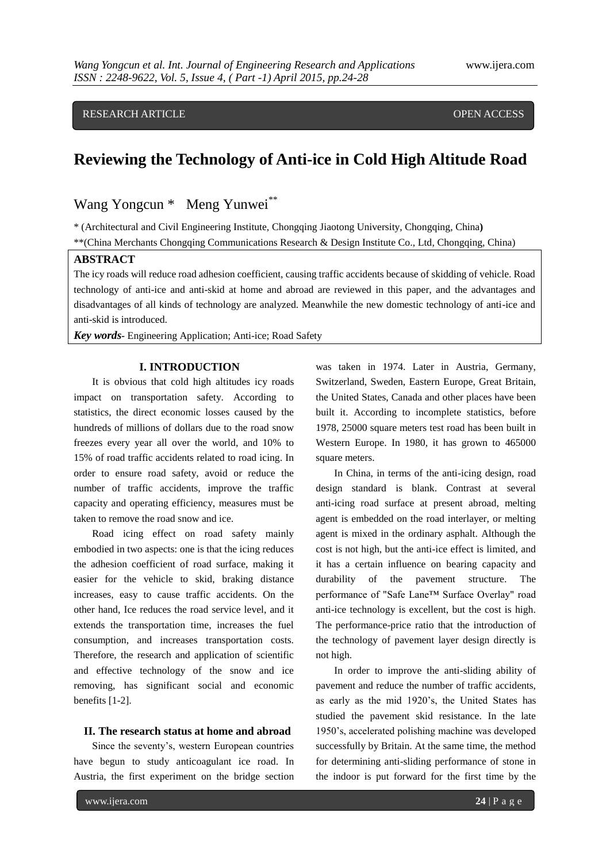# RESEARCH ARTICLE OPEN ACCESS

# **Reviewing the Technology of Anti-ice in Cold High Altitude Road**

Wang Yongcun \* Meng Yunwei<sup>\*\*</sup>

\* (Architectural and Civil Engineering Institute, Chongqing Jiaotong University, Chongqing, China**)** \*\*(China Merchants Chongqing Communications Research & Design Institute Co., Ltd, Chongqing, China)

## **ABSTRACT**

The icy roads will reduce road adhesion coefficient, causing traffic accidents because of skidding of vehicle. Road technology of anti-ice and anti-skid at home and abroad are reviewed in this paper, and the advantages and disadvantages of all kinds of technology are analyzed. Meanwhile the new domestic technology of anti-ice and anti-skid is introduced.

*Key words-* Engineering Application; Anti-ice; Road Safety

#### **I. INTRODUCTION**

It is obvious that cold high altitudes icy roads impact on transportation safety. According to statistics, the direct economic losses caused by the hundreds of millions of dollars due to the road snow freezes every year all over the world, and 10% to 15% of road traffic accidents related to road icing. In order to ensure road safety, avoid or reduce the number of traffic accidents, improve the traffic capacity and operating efficiency, measures must be taken to remove the road snow and ice.

Road icing effect on road safety mainly embodied in two aspects: one is that the icing reduces the adhesion coefficient of road surface, making it easier for the vehicle to skid, braking distance increases, easy to cause traffic accidents. On the other hand, Ice reduces the road service level, and it extends the transportation time, increases the fuel consumption, and increases transportation costs. Therefore, the research and application of scientific and effective technology of the snow and ice removing, has significant social and economic benefits [1-2].

## **II. The research status at home and abroad**

Since the seventy's, western European countries have begun to study anticoagulant ice road. In Austria, the first experiment on the bridge section was taken in 1974. Later in Austria, Germany, Switzerland, Sweden, Eastern Europe, Great Britain, the United States, Canada and other places have been built it. According to incomplete statistics, before 1978, 25000 square meters test road has been built in Western Europe. In 1980, it has grown to 465000 square meters.

In China, in terms of the anti-icing design, road design standard is blank. Contrast at several anti-icing road surface at present abroad, melting agent is embedded on the road interlayer, or melting agent is mixed in the ordinary asphalt. Although the cost is not high, but the anti-ice effect is limited, and it has a certain influence on bearing capacity and durability of the pavement structure. The performance of "Safe Lane™ Surface Overlay" road anti-ice technology is excellent, but the cost is high. The performance-price ratio that the introduction of the technology of pavement layer design directly is not high.

In order to improve the anti-sliding ability of pavement and reduce the number of traffic accidents, as early as the mid 1920's, the United States has studied the pavement skid resistance. In the late 1950's, accelerated polishing machine was developed successfully by Britain. At the same time, the method for determining anti-sliding performance of stone in the indoor is put forward for the first time by the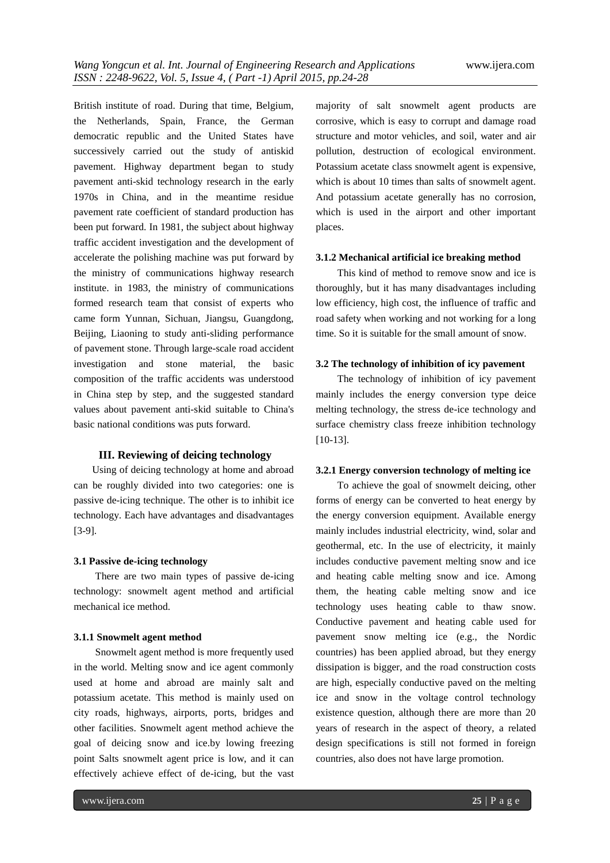British institute of road. During that time, Belgium, the Netherlands, Spain, France, the German democratic republic and the United States have successively carried out the study of antiskid pavement. Highway department began to study pavement anti-skid technology research in the early 1970s in China, and in the meantime residue pavement rate coefficient of standard production has been put forward. In 1981, the subject about highway traffic accident investigation and the development of accelerate the polishing machine was put forward by the ministry of communications highway research institute. in 1983, the ministry of communications formed research team that consist of experts who came form Yunnan, Sichuan, Jiangsu, Guangdong, Beijing, Liaoning to study anti-sliding performance of pavement stone. Through large-scale road accident investigation and stone material, the basic composition of the traffic accidents was understood in China step by step, and the suggested standard values about pavement anti-skid suitable to China's basic national conditions was puts forward.

#### **III. Reviewing of deicing technology**

Using of deicing technology at home and abroad can be roughly divided into two categories: one is passive de-icing technique. The other is to inhibit ice technology. Each have advantages and disadvantages [3-9].

#### **3.1 Passive de-icing technology**

There are two main types of passive de-icing technology: snowmelt agent method and artificial mechanical ice method.

## **3.1.1 Snowmelt agent method**

Snowmelt agent method is more frequently used in the world. Melting snow and ice agent commonly used at home and abroad are mainly salt and potassium acetate. This method is mainly used on city roads, highways, airports, ports, bridges and other facilities. Snowmelt agent method achieve the goal of deicing snow and ice.by lowing freezing point Salts snowmelt agent price is low, and it can effectively achieve effect of de-icing, but the vast majority of salt snowmelt agent products are corrosive, which is easy to corrupt and damage road structure and motor vehicles, and soil, water and air pollution, destruction of ecological environment. Potassium acetate class snowmelt agent is expensive, which is about 10 times than salts of snowmelt agent. And potassium acetate generally has no corrosion, which is used in the airport and other important places.

#### **3.1.2 Mechanical artificial ice breaking method**

This kind of method to remove snow and ice is thoroughly, but it has many disadvantages including low efficiency, high cost, the influence of traffic and road safety when working and not working for a long time. So it is suitable for the small amount of snow.

## **3.2 The technology of inhibition of icy pavement**

The technology of inhibition of icy pavement mainly includes the energy conversion type deice melting technology, the stress de-ice technology and surface chemistry class freeze inhibition technology [10-13].

#### **3.2.1 Energy conversion technology of melting ice**

To achieve the goal of snowmelt deicing, other forms of energy can be converted to heat energy by the energy conversion equipment. Available energy mainly includes industrial electricity, wind, solar and geothermal, etc. In the use of electricity, it mainly includes conductive pavement melting snow and ice and heating cable melting snow and ice. Among them, the heating cable melting snow and ice technology uses heating cable to thaw snow. Conductive pavement and heating cable used for pavement snow melting ice (e.g., the Nordic countries) has been applied abroad, but they energy dissipation is bigger, and the road construction costs are high, especially conductive paved on the melting ice and snow in the voltage control technology existence question, although there are more than 20 years of research in the aspect of theory, a related design specifications is still not formed in foreign countries, also does not have large promotion.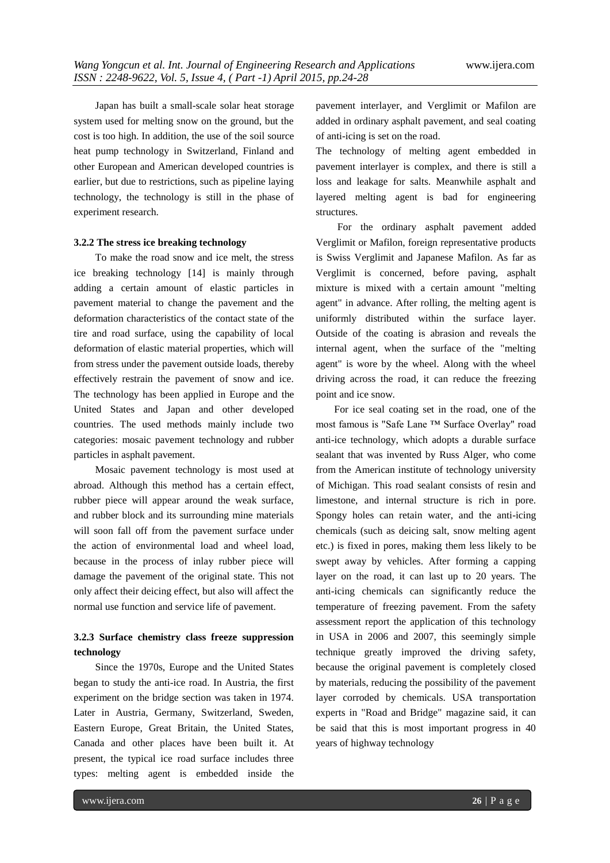Japan has built a small-scale solar heat storage system used for melting snow on the ground, but the cost is too high. In addition, the use of the soil source heat pump technology in Switzerland, Finland and other European and American developed countries is earlier, but due to restrictions, such as pipeline laying technology, the technology is still in the phase of experiment research.

#### **3.2.2 The stress ice breaking technology**

To make the road snow and ice melt, the stress ice breaking technology [14] is mainly through adding a certain amount of elastic particles in pavement material to change the pavement and the deformation characteristics of the contact state of the tire and road surface, using the capability of local deformation of elastic material properties, which will from stress under the pavement outside loads, thereby effectively restrain the pavement of snow and ice. The technology has been applied in Europe and the United States and Japan and other developed countries. The used methods mainly include two categories: mosaic pavement technology and rubber particles in asphalt pavement.

Mosaic pavement technology is most used at abroad. Although this method has a certain effect, rubber piece will appear around the weak surface, and rubber block and its surrounding mine materials will soon fall off from the pavement surface under the action of environmental load and wheel load, because in the process of inlay rubber piece will damage the pavement of the original state. This not only affect their deicing effect, but also will affect the normal use function and service life of pavement.

# **3.2.3 Surface chemistry class freeze suppression technology**

Since the 1970s, Europe and the United States began to study the anti-ice road. In Austria, the first experiment on the bridge section was taken in 1974. Later in Austria, Germany, Switzerland, Sweden, Eastern Europe, Great Britain, the United States, Canada and other places have been built it. At present, the typical ice road surface includes three types: melting agent is embedded inside the pavement interlayer, and Verglimit or Mafilon are added in ordinary asphalt pavement, and seal coating of anti-icing is set on the road.

The technology of melting agent embedded in pavement interlayer is complex, and there is still a loss and leakage for salts. Meanwhile asphalt and layered melting agent is bad for engineering structures.

For the ordinary asphalt pavement added Verglimit or Mafilon, foreign representative products is Swiss Verglimit and Japanese Mafilon. As far as Verglimit is concerned, before paving, asphalt mixture is mixed with a certain amount "melting agent" in advance. After rolling, the melting agent is uniformly distributed within the surface layer. Outside of the coating is abrasion and reveals the internal agent, when the surface of the "melting agent" is wore by the wheel. Along with the wheel driving across the road, it can reduce the freezing point and ice snow.

For ice seal coating set in the road, one of the most famous is "Safe Lane ™ Surface Overlay" road anti-ice technology, which adopts a durable surface sealant that was invented by Russ Alger, who come from the American institute of technology university of Michigan. This road sealant consists of resin and limestone, and internal structure is rich in pore. Spongy holes can retain water, and the anti-icing chemicals (such as deicing salt, snow melting agent etc.) is fixed in pores, making them less likely to be swept away by vehicles. After forming a capping layer on the road, it can last up to 20 years. The anti-icing chemicals can significantly reduce the temperature of freezing pavement. From the safety assessment report the application of this technology in USA in 2006 and 2007, this seemingly simple technique greatly improved the driving safety, because the original pavement is completely closed by materials, reducing the possibility of the pavement layer corroded by chemicals. USA transportation experts in "Road and Bridge" magazine said, it can be said that this is most important progress in 40 years of highway technology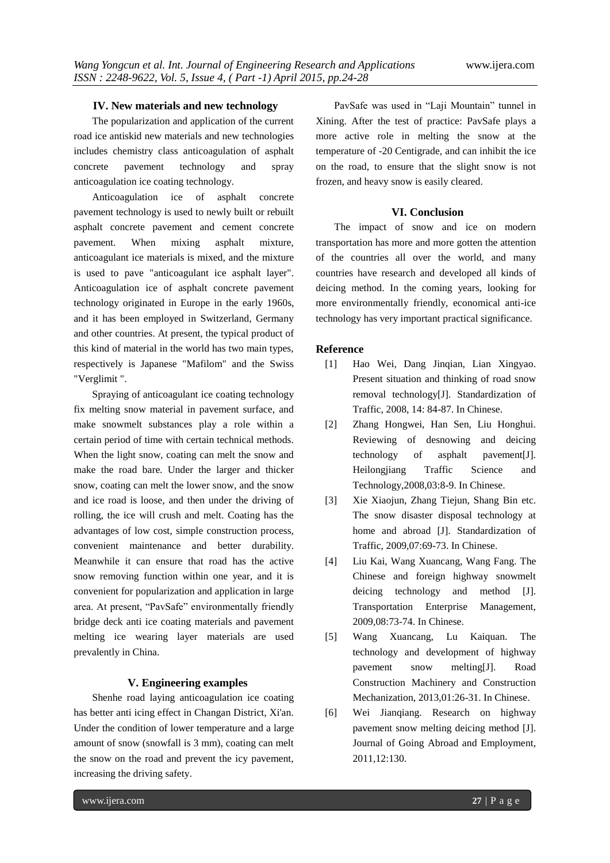## **IV. New materials and new technology**

The popularization and application of the current road ice antiskid new materials and new technologies includes chemistry class anticoagulation of asphalt concrete pavement technology and spray anticoagulation ice coating technology.

Anticoagulation ice of asphalt concrete pavement technology is used to newly built or rebuilt asphalt concrete pavement and cement concrete pavement. When mixing asphalt mixture, anticoagulant ice materials is mixed, and the mixture is used to pave "anticoagulant ice asphalt layer". Anticoagulation ice of asphalt concrete pavement technology originated in Europe in the early 1960s, and it has been employed in Switzerland, Germany and other countries. At present, the typical product of this kind of material in the world has two main types, respectively is Japanese "Mafilom" and the Swiss "Verglimit ".

Spraying of anticoagulant ice coating technology fix melting snow material in pavement surface, and make snowmelt substances play a role within a certain period of time with certain technical methods. When the light snow, coating can melt the snow and make the road bare. Under the larger and thicker snow, coating can melt the lower snow, and the snow and ice road is loose, and then under the driving of rolling, the ice will crush and melt. Coating has the advantages of low cost, simple construction process, convenient maintenance and better durability. Meanwhile it can ensure that road has the active snow removing function within one year, and it is convenient for popularization and application in large area. At present, "PavSafe" environmentally friendly bridge deck anti ice coating materials and pavement melting ice wearing layer materials are used prevalently in China.

## **V. Engineering examples**

Shenhe road laying anticoagulation ice coating has better anti icing effect in Changan District, Xi'an. Under the condition of lower temperature and a large amount of snow (snowfall is 3 mm), coating can melt the snow on the road and prevent the icy pavement, increasing the driving safety.

PavSafe was used in "Laji Mountain" tunnel in Xining. After the test of practice: PavSafe plays a more active role in melting the snow at the temperature of -20 Centigrade, and can inhibit the ice on the road, to ensure that the slight snow is not frozen, and heavy snow is easily cleared.

#### **VI. Conclusion**

The impact of snow and ice on modern transportation has more and more gotten the attention of the countries all over the world, and many countries have research and developed all kinds of deicing method. In the coming years, looking for more environmentally friendly, economical anti-ice technology has very important practical significance.

## **Reference**

- [1] Hao Wei, Dang Jinqian, Lian Xingyao. Present situation and thinking of road snow removal technology[J]. Standardization of Traffic, 2008, 14: 84-87. In Chinese.
- [2] Zhang Hongwei, Han Sen, Liu Honghui. Reviewing of desnowing and deicing technology of asphalt pavement[J]. Heilongjiang Traffic Science and Technology,2008,03:8-9. In Chinese.
- [3] Xie Xiaojun, Zhang Tiejun, Shang Bin etc. The snow disaster disposal technology at home and abroad [J]. Standardization of Traffic, 2009,07:69-73. In Chinese.
- [4] Liu Kai, Wang Xuancang, Wang Fang. The Chinese and foreign highway snowmelt deicing technology and method [J]. Transportation Enterprise Management, 2009,08:73-74. In Chinese.
- [5] Wang Xuancang, Lu Kaiquan. The technology and development of highway pavement snow melting[J]. Road Construction Machinery and Construction Mechanization, 2013,01:26-31. In Chinese.
- [6] Wei Jianqiang. Research on highway pavement snow melting deicing method [J]. Journal of Going Abroad and Employment, 2011,12:130.